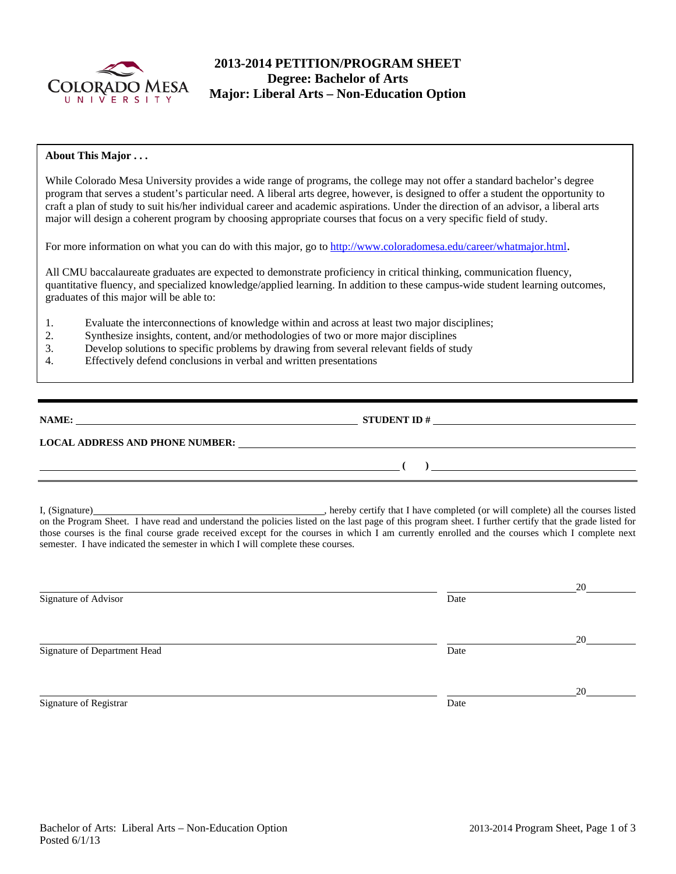

# **2013-2014 PETITION/PROGRAM SHEET Degree: Bachelor of Arts Major: Liberal Arts – Non-Education Option**

### **About This Major . . .**

While Colorado Mesa University provides a wide range of programs, the college may not offer a standard bachelor's degree program that serves a student's particular need. A liberal arts degree, however, is designed to offer a student the opportunity to craft a plan of study to suit his/her individual career and academic aspirations. Under the direction of an advisor, a liberal arts major will design a coherent program by choosing appropriate courses that focus on a very specific field of study.

For more information on what you can do with this major, go to http://www.coloradomesa.edu/career/whatmajor.html.

All CMU baccalaureate graduates are expected to demonstrate proficiency in critical thinking, communication fluency, quantitative fluency, and specialized knowledge/applied learning. In addition to these campus-wide student learning outcomes, graduates of this major will be able to:

- 1. Evaluate the interconnections of knowledge within and across at least two major disciplines;
- 2. Synthesize insights, content, and/or methodologies of two or more major disciplines
- 3. Develop solutions to specific problems by drawing from several relevant fields of study
- 4. Effectively defend conclusions in verbal and written presentations

| <b>NAME:</b> |  |
|--------------|--|
|              |  |

**NAME:** STUDENT ID #

 **(** ) <u> **(** ) **d** ( )  *( ) in the set of the set of the set of the set of the set of the set of the set of the set of the set of the set of the set of the set of the set of the set of the set of the set of the set of th</u>* 

## **LOCAL ADDRESS AND PHONE NUMBER:**

I, (Signature) , hereby certify that I have completed (or will complete) all the courses listed on the Program Sheet. I have read and understand the policies listed on the last page of this program sheet. I further certify that the grade listed for those courses is the final course grade received except for the courses in which I am currently enrolled and the courses which I complete next semester. I have indicated the semester in which I will complete these courses.

| 20 |
|----|
|    |
|    |
| 20 |
|    |
|    |
| 20 |
|    |
|    |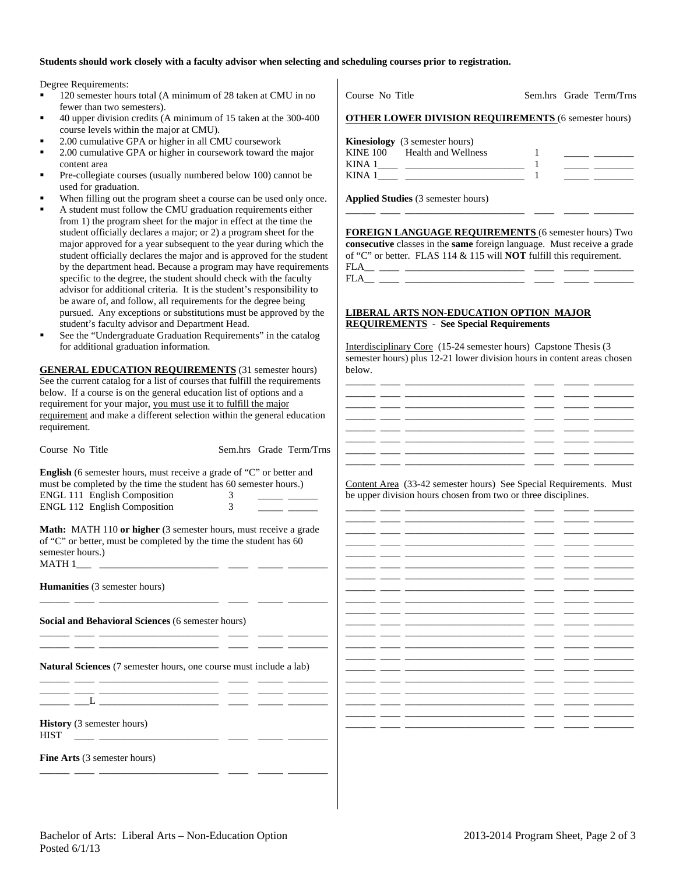#### **Students should work closely with a faculty advisor when selecting and scheduling courses prior to registration.**

Degree Requirements:

- 120 semester hours total (A minimum of 28 taken at CMU in no fewer than two semesters).
- 40 upper division credits (A minimum of 15 taken at the 300-400 course levels within the major at CMU).
- 2.00 cumulative GPA or higher in all CMU coursework
- 2.00 cumulative GPA or higher in coursework toward the major content area
- Pre-collegiate courses (usually numbered below 100) cannot be used for graduation.
- When filling out the program sheet a course can be used only once.
- A student must follow the CMU graduation requirements either from 1) the program sheet for the major in effect at the time the student officially declares a major; or 2) a program sheet for the major approved for a year subsequent to the year during which the student officially declares the major and is approved for the student by the department head. Because a program may have requirements specific to the degree, the student should check with the faculty advisor for additional criteria. It is the student's responsibility to be aware of, and follow, all requirements for the degree being pursued. Any exceptions or substitutions must be approved by the student's faculty advisor and Department Head.
- See the "Undergraduate Graduation Requirements" in the catalog for additional graduation information.

**GENERAL EDUCATION REQUIREMENTS** (31 semester hours) See the current catalog for a list of courses that fulfill the requirements below. If a course is on the general education list of options and a requirement for your major, you must use it to fulfill the major requirement and make a different selection within the general education requirement.

| Course No Title                                                                                                                                                   |                | Sem.hrs Grade Term/Trns |      |
|-------------------------------------------------------------------------------------------------------------------------------------------------------------------|----------------|-------------------------|------|
| <b>English</b> (6 semester hours, must receive a grade of "C" or better and<br>must be completed by the time the student has 60 semester hours.)                  |                |                         | Con  |
| <b>ENGL 111 English Composition</b>                                                                                                                               | 3              |                         | be u |
| ENGL 112 English Composition                                                                                                                                      | $\overline{3}$ |                         |      |
| <b>Math:</b> MATH 110 or higher (3 semester hours, must receive a grade<br>of "C" or better, must be completed by the time the student has 60<br>semester hours.) |                |                         |      |
| <b>Humanities</b> (3 semester hours)                                                                                                                              |                |                         |      |
| <b>Social and Behavioral Sciences (6 semester hours)</b><br>the control of the control of the control of the control of the control of                            |                |                         |      |
| <b>Natural Sciences</b> (7 semester hours, one course must include a lab)<br>the control of the control of the control of the control of the control of           |                |                         |      |
|                                                                                                                                                                   |                |                         |      |
| <b>History</b> (3 semester hours)<br><b>HIST</b><br><u> 1980 - Andrea Andrew Maria (h. 1980).</u>                                                                 |                |                         |      |
| <b>Fine Arts</b> (3 semester hours)                                                                                                                               |                |                         |      |
|                                                                                                                                                                   |                |                         |      |

|        | <b>OTHER LOWER DIVISION REQUIREMENTS (6 semester hours)</b> |  |  |
|--------|-------------------------------------------------------------|--|--|
|        | <b>Kinesiology</b> (3 semester hours)                       |  |  |
|        | KINE 100 Health and Wellness                                |  |  |
|        | KINA $1 \_$                                                 |  |  |
| KINA 1 |                                                             |  |  |

Course No Title Sem.hrs Grade Term/Trns

**Applied Studies** (3 semester hours)

**FOREIGN LANGUAGE REQUIREMENTS** (6 semester hours) Two **consecutive** classes in the **same** foreign language. Must receive a grade of "C" or better. FLAS 114 & 115 will **NOT** fulfill this requirement.

\_\_\_\_\_\_ \_\_\_\_ \_\_\_\_\_\_\_\_\_\_\_\_\_\_\_\_\_\_\_\_\_\_\_\_ \_\_\_\_ \_\_\_\_\_ \_\_\_\_\_\_\_\_

FLA\_\_ \_\_\_\_ \_\_\_\_\_\_\_\_\_\_\_\_\_\_\_\_\_\_\_\_\_\_\_\_ \_\_\_\_ \_\_\_\_\_ \_\_\_\_\_\_\_\_ FLA\_\_ \_\_\_\_ \_\_\_\_\_\_\_\_\_\_\_\_\_\_\_\_\_\_\_\_\_\_\_\_ \_\_\_\_ \_\_\_\_\_ \_\_\_\_\_\_\_\_

#### **LIBERAL ARTS NON-EDUCATION OPTION MAJOR REQUIREMENTS** - **See Special Requirements**

Interdisciplinary Core (15-24 semester hours) Capstone Thesis (3 semester hours) plus 12-21 lower division hours in content areas chosen below.

tent Area (33-42 semester hours) See Special Requirements. Must pper division hours chosen from two or three disciplines.